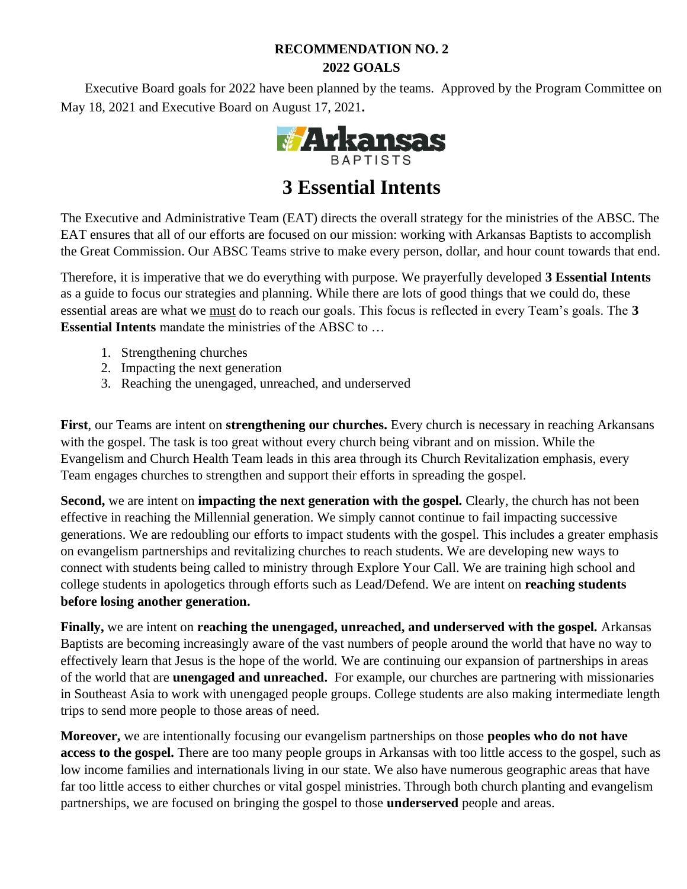# **RECOMMENDATION NO. 2 2022 GOALS**

Executive Board goals for 2022 have been planned by the teams. Approved by the Program Committee on May 18, 2021 and Executive Board on August 17, 2021**.**



# **3 Essential Intents**

The Executive and Administrative Team (EAT) directs the overall strategy for the ministries of the ABSC. The EAT ensures that all of our efforts are focused on our mission: working with Arkansas Baptists to accomplish the Great Commission. Our ABSC Teams strive to make every person, dollar, and hour count towards that end.

Therefore, it is imperative that we do everything with purpose. We prayerfully developed **3 Essential Intents** as a guide to focus our strategies and planning. While there are lots of good things that we could do, these essential areas are what we must do to reach our goals. This focus is reflected in every Team's goals. The **3 Essential Intents** mandate the ministries of the ABSC to …

- 1. Strengthening churches
- 2. Impacting the next generation
- 3. Reaching the unengaged, unreached, and underserved

**First**, our Teams are intent on **strengthening our churches.** Every church is necessary in reaching Arkansans with the gospel. The task is too great without every church being vibrant and on mission. While the Evangelism and Church Health Team leads in this area through its Church Revitalization emphasis, every Team engages churches to strengthen and support their efforts in spreading the gospel.

**Second,** we are intent on **impacting the next generation with the gospel.** Clearly, the church has not been effective in reaching the Millennial generation. We simply cannot continue to fail impacting successive generations. We are redoubling our efforts to impact students with the gospel. This includes a greater emphasis on evangelism partnerships and revitalizing churches to reach students. We are developing new ways to connect with students being called to ministry through Explore Your Call. We are training high school and college students in apologetics through efforts such as Lead/Defend. We are intent on **reaching students before losing another generation.** 

**Finally,** we are intent on **reaching the unengaged, unreached, and underserved with the gospel.** Arkansas Baptists are becoming increasingly aware of the vast numbers of people around the world that have no way to effectively learn that Jesus is the hope of the world. We are continuing our expansion of partnerships in areas of the world that are **unengaged and unreached.** For example, our churches are partnering with missionaries in Southeast Asia to work with unengaged people groups. College students are also making intermediate length trips to send more people to those areas of need.

**Moreover,** we are intentionally focusing our evangelism partnerships on those **peoples who do not have access to the gospel.** There are too many people groups in Arkansas with too little access to the gospel, such as low income families and internationals living in our state. We also have numerous geographic areas that have far too little access to either churches or vital gospel ministries. Through both church planting and evangelism partnerships, we are focused on bringing the gospel to those **underserved** people and areas.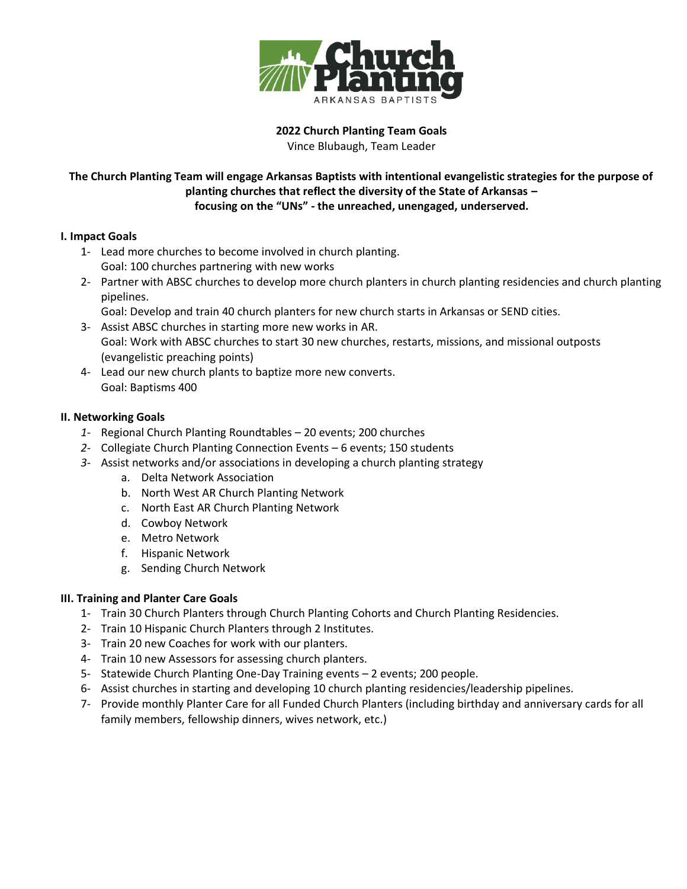

**2022 Church Planting Team Goals** Vince Blubaugh, Team Leader

## **The Church Planting Team will engage Arkansas Baptists with intentional evangelistic strategies for the purpose of planting churches that reflect the diversity of the State of Arkansas – focusing on the "UNs" - the unreached, unengaged, underserved.**

#### **I. Impact Goals**

- 1- Lead more churches to become involved in church planting. Goal: 100 churches partnering with new works
- 2- Partner with ABSC churches to develop more church planters in church planting residencies and church planting pipelines.

Goal: Develop and train 40 church planters for new church starts in Arkansas or SEND cities.

- 3- Assist ABSC churches in starting more new works in AR. Goal: Work with ABSC churches to start 30 new churches, restarts, missions, and missional outposts (evangelistic preaching points)
- 4- Lead our new church plants to baptize more new converts. Goal: Baptisms 400

### **II. Networking Goals**

- *1-* Regional Church Planting Roundtables 20 events; 200 churches
- *2-* Collegiate Church Planting Connection Events 6 events; 150 students
- *3-* Assist networks and/or associations in developing a church planting strategy
	- a. Delta Network Association
	- b. North West AR Church Planting Network
	- c. North East AR Church Planting Network
	- d. Cowboy Network
	- e. Metro Network
	- f. Hispanic Network
	- g. Sending Church Network

### **III. Training and Planter Care Goals**

- 1- Train 30 Church Planters through Church Planting Cohorts and Church Planting Residencies.
- 2- Train 10 Hispanic Church Planters through 2 Institutes.
- 3- Train 20 new Coaches for work with our planters.
- 4- Train 10 new Assessors for assessing church planters.
- 5- Statewide Church Planting One-Day Training events 2 events; 200 people.
- 6- Assist churches in starting and developing 10 church planting residencies/leadership pipelines.
- 7- Provide monthly Planter Care for all Funded Church Planters (including birthday and anniversary cards for all family members, fellowship dinners, wives network, etc.)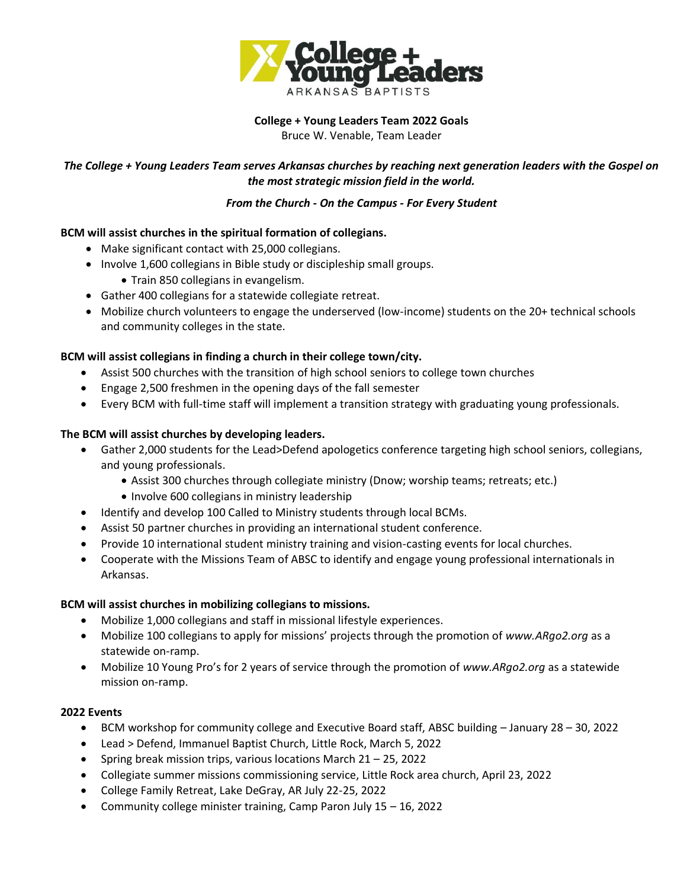

# **College + Young Leaders Team 2022 Goals**

Bruce W. Venable, Team Leader

## *The College + Young Leaders Team serves Arkansas churches by reaching next generation leaders with the Gospel on the most strategic mission field in the world.*

#### *From the Church - On the Campus - For Every Student*

### **BCM will assist churches in the spiritual formation of collegians.**

- Make significant contact with 25,000 collegians.
- Involve 1,600 collegians in Bible study or discipleship small groups.
	- Train 850 collegians in evangelism.
- Gather 400 collegians for a statewide collegiate retreat.
- Mobilize church volunteers to engage the underserved (low-income) students on the 20+ technical schools and community colleges in the state.

### **BCM will assist collegians in finding a church in their college town/city.**

- Assist 500 churches with the transition of high school seniors to college town churches
- Engage 2,500 freshmen in the opening days of the fall semester
- Every BCM with full-time staff will implement a transition strategy with graduating young professionals.

### **The BCM will assist churches by developing leaders.**

- Gather 2,000 students for the Lead>Defend apologetics conference targeting high school seniors, collegians, and young professionals.
	- Assist 300 churches through collegiate ministry (Dnow; worship teams; retreats; etc.)
		- Involve 600 collegians in ministry leadership
- Identify and develop 100 Called to Ministry students through local BCMs.
- Assist 50 partner churches in providing an international student conference.
- Provide 10 international student ministry training and vision-casting events for local churches.
- Cooperate with the Missions Team of ABSC to identify and engage young professional internationals in Arkansas.

### **BCM will assist churches in mobilizing collegians to missions.**

- Mobilize 1,000 collegians and staff in missional lifestyle experiences.
- Mobilize 100 collegians to apply for missions' projects through the promotion of *www.ARgo2.org* as a statewide on-ramp.
- Mobilize 10 Young Pro's for 2 years of service through the promotion of *www.ARgo2.org* as a statewide mission on-ramp.

### **2022 Events**

- BCM workshop for community college and Executive Board staff, ABSC building January 28 30, 2022
- Lead > Defend, Immanuel Baptist Church, Little Rock, March 5, 2022
- Spring break mission trips, various locations March 21 25, 2022
- Collegiate summer missions commissioning service, Little Rock area church, April 23, 2022
- College Family Retreat, Lake DeGray, AR July 22-25, 2022
- Community college minister training, Camp Paron July 15 16, 2022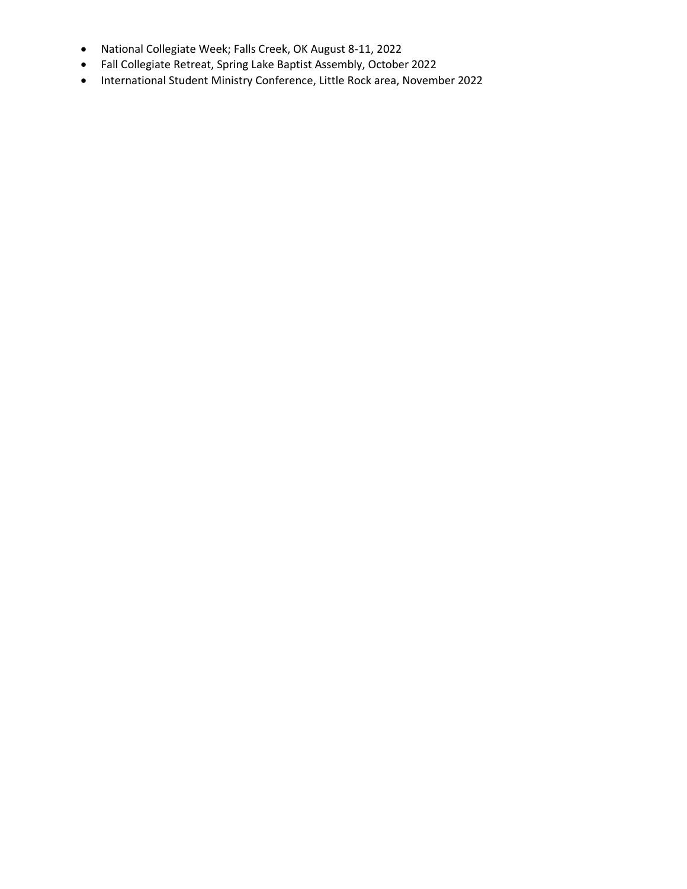- National Collegiate Week; Falls Creek, OK August 8-11, 2022
- Fall Collegiate Retreat, Spring Lake Baptist Assembly, October 2022
- International Student Ministry Conference, Little Rock area, November 2022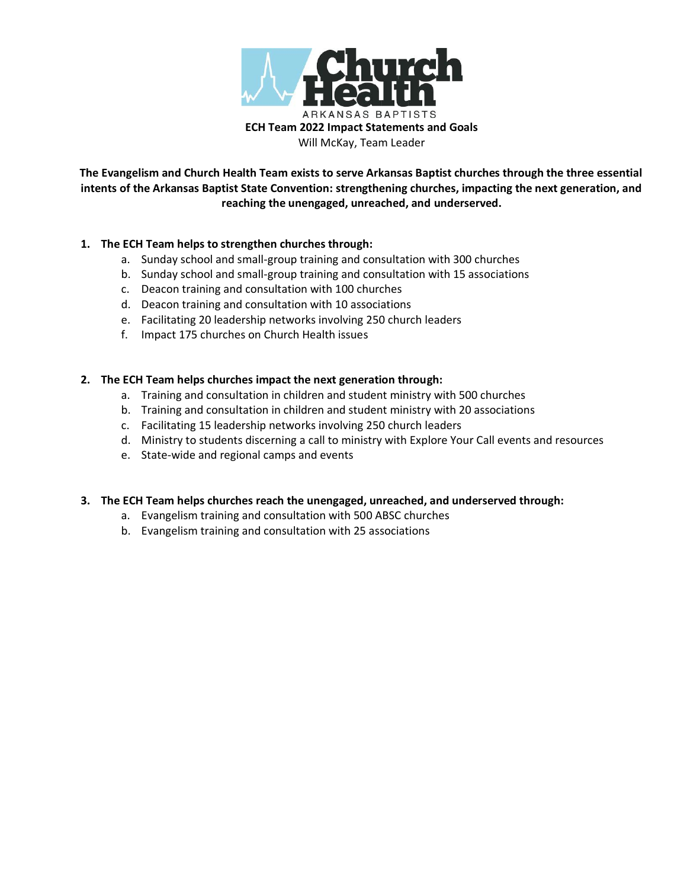

**The Evangelism and Church Health Team exists to serve Arkansas Baptist churches through the three essential intents of the Arkansas Baptist State Convention: strengthening churches, impacting the next generation, and reaching the unengaged, unreached, and underserved.**

#### **1. The ECH Team helps to strengthen churches through:**

- a. Sunday school and small-group training and consultation with 300 churches
- b. Sunday school and small-group training and consultation with 15 associations
- c. Deacon training and consultation with 100 churches
- d. Deacon training and consultation with 10 associations
- e. Facilitating 20 leadership networks involving 250 church leaders
- f. Impact 175 churches on Church Health issues

#### **2. The ECH Team helps churches impact the next generation through:**

- a. Training and consultation in children and student ministry with 500 churches
- b. Training and consultation in children and student ministry with 20 associations
- c. Facilitating 15 leadership networks involving 250 church leaders
- d. Ministry to students discerning a call to ministry with Explore Your Call events and resources
- e. State-wide and regional camps and events

#### **3. The ECH Team helps churches reach the unengaged, unreached, and underserved through:**

- a. Evangelism training and consultation with 500 ABSC churches
- b. Evangelism training and consultation with 25 associations